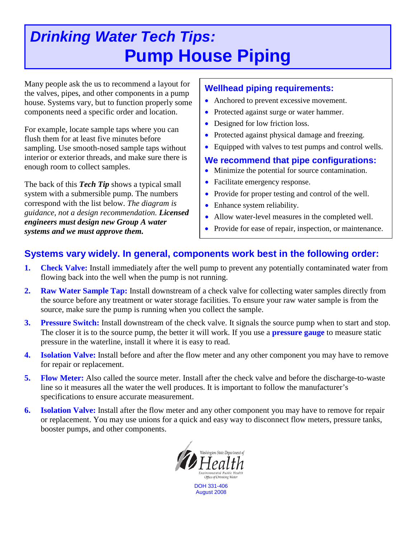# *Drinking Water Tech Tips:* **Pump House Piping**

Many people ask the us to recommend a layout for the valves, pipes, and other components in a pump house. Systems vary, but to function properly some components need a specific order and location.

For example, locate sample taps where you can flush them for at least five minutes before sampling. Use smooth-nosed sample taps without interior or exterior threads, and make sure there is enough room to collect samples.

The back of this *Tech Tip* shows a typical small system with a submersible pump. The numbers correspond with the list below. *The diagram is guidance, not a design recommendation. Licensed engineers must design new Group A water systems and we must approve them.*

## **Wellhead piping requirements:**

- Anchored to prevent excessive movement.
- Protected against surge or water hammer.
- Designed for low friction loss.
- Protected against physical damage and freezing.
- Equipped with valves to test pumps and control wells.

### **We recommend that pipe configurations:**

- Minimize the potential for source contamination.
- Facilitate emergency response.
- Provide for proper testing and control of the well.
- Enhance system reliability.
- Allow water-level measures in the completed well.
- Provide for ease of repair, inspection, or maintenance.

# **Systems vary widely. In general, components work best in the following order:**

- **1. Check Valve:** Install immediately after the well pump to prevent any potentially contaminated water from flowing back into the well when the pump is not running.
- **2. Raw Water Sample Tap:** Install downstream of a check valve for collecting water samples directly from the source before any treatment or water storage facilities. To ensure your raw water sample is from the source, make sure the pump is running when you collect the sample.
- **3. Pressure Switch:** Install downstream of the check valve. It signals the source pump when to start and stop. The closer it is to the source pump, the better it will work. If you use a **pressure gauge** to measure static pressure in the waterline, install it where it is easy to read.
- **4. Isolation Valve:** Install before and after the flow meter and any other component you may have to remove for repair or replacement.
- **5. Flow Meter:** Also called the source meter. Install after the check valve and before the discharge-to-waste line so it measures all the water the well produces. It is important to follow the manufacturer's specifications to ensure accurate measurement.
- **6. Isolation Valve:** Install after the flow meter and any other component you may have to remove for repair or replacement. You may use unions for a quick and easy way to disconnect flow meters, pressure tanks, booster pumps, and other components.